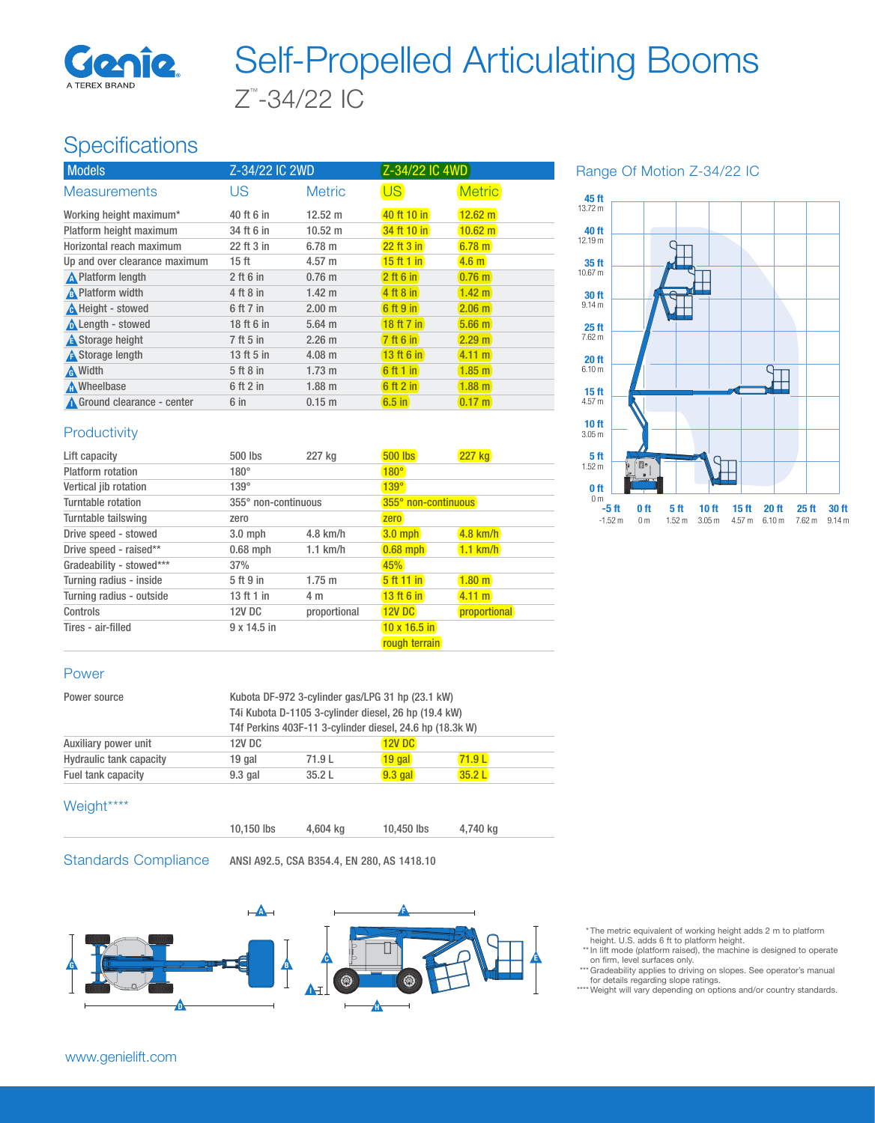

# Z™ -34/22 IC Self-Propelled Articulating Booms

## **Specifications**

| <b>Models</b>                 | Z-34/22 IC 2WD   |                   | Z-34/22 IC 4WD) |                   |
|-------------------------------|------------------|-------------------|-----------------|-------------------|
| <b>Measurements</b>           | US               | <b>Metric</b>     | US <sup></sup>  | <b>Metric</b>     |
| Working height maximum*       | 40 ft 6 in       | $12.52 \text{ m}$ | 40 ft 10 in     | $12.62 \text{ m}$ |
| Platform height maximum       | 34 ft 6 in       | $10.52 \text{ m}$ | 34 ft 10 in     | $10.62 \text{ m}$ |
| Horizontal reach maximum      | 22 ft 3 in       | 6.78 m            | $22$ ft $3$ in  | 6.78 m            |
| Up and over clearance maximum | 15 <sub>ft</sub> | $4.57 \text{ m}$  | $15$ ft 1 in    | 4.6 <sub>m</sub>  |
| <b>A</b> Platform length      | $2$ ft 6 in      | $0.76$ m          | 2 ft 6 in       | $0.76$ m          |
| A Platform width              | 4 ft 8 in        | $1.42 \text{ m}$  | $4$ ft 8 in     | 1.42 <sub>m</sub> |
| A Height - stowed             | 6 ft 7 in        | 2.00 <sub>m</sub> | $6$ ft $9$ in   | 2.06 m            |
| <b>A</b> Length - stowed      | 18 ft 6 in       | $5.64$ m          | 18 ft 7 in      | $5.66$ m          |
| <b>A</b> Storage height       | 7 ft 5 in        | $2.26 \text{ m}$  | 7 ft 6 in       | 2.29 m            |
| <b>A</b> Storage length       | 13 ft 5 in       | $4.08 \; m$       | 13 ft 6 in      | 4.11 m            |
| A Width                       | 5 ft 8 in        | $1.73 \text{ m}$  | 6ft1in          | 1.85 <sub>m</sub> |
| A Wheelbase                   | 6 ft 2 in        | $1.88$ m          | 6ft2in          | 1.88 <sub>m</sub> |
| Ground clearance - center     | 6 in             | 0.15 m            | $6.5$ in        | 0.17 m            |

#### Range Of Motion Z-34/22 IC



### **Productivity**

| Lift capacity            | 500 lbs             | 227 kg       | <b>500 lbs</b>      | <b>227 kg</b>     |
|--------------------------|---------------------|--------------|---------------------|-------------------|
| <b>Platform</b> rotation | $180^\circ$         |              | $180^\circ$         |                   |
| Vertical jib rotation    | $139^\circ$         |              | 139°                |                   |
| Turntable rotation       | 355° non-continuous |              | 355° non-continuous |                   |
| Turntable tailswing      | zero                |              | zero                |                   |
| Drive speed - stowed     | $3.0$ mph           | $4.8$ km/h   | $3.0$ mph           | $4.8$ km/h        |
| Drive speed - raised**   | $0.68$ mph          | $1.1$ km/h   | $0.68$ mph          | $1.1$ km/h        |
| Gradeability - stowed*** | 37%                 |              | 45%                 |                   |
| Turning radius - inside  | 5 ft 9 in           | $1.75 \; m$  | 5ft11in             | 1.80 <sub>m</sub> |
| Turning radius - outside | 13 ft 1 in          | 4 m          | 13 ft 6 in          | 4.11 m            |
| Controls                 | 12V DC              | proportional | <b>12V DC</b>       | proportional      |
| Tires - air-filled       | $9 \times 14.5$ in  |              | $10 \times 16.5$ in |                   |
|                          |                     |              | rough terrain       |                   |

#### Power

| Power source                   | Kubota DF-972 3-cylinder gas/LPG 31 hp (23.1 kW)<br>T4i Kubota D-1105 3-cylinder diesel, 26 hp (19.4 kW) |        |               |       |
|--------------------------------|----------------------------------------------------------------------------------------------------------|--------|---------------|-------|
|                                |                                                                                                          |        |               |       |
|                                | T4f Perkins 403F-11 3-cylinder diesel, 24.6 hp (18.3k W)                                                 |        |               |       |
| Auxiliary power unit           | 12V DC                                                                                                   |        | <b>12V DC</b> |       |
| <b>Hydraulic tank capacity</b> | 19 gal                                                                                                   | 71.9 L | $19$ aal      | 71.9L |
| Fuel tank capacity             | $9.3$ gal                                                                                                | 35.2L  | $9.3$ gal     | 35.2L |

#### Weight\*\*\*\*

| 10,150 lbs | 4,604 kg | 10,450 lbs | 4,740 kg |
|------------|----------|------------|----------|
|            |          |            |          |

Standards Compliance ANSI A92.5, CSA B354.4, EN 280, AS 1418.10



- \* The metric equivalent of working height adds 2 m to platform height. U.S. adds 6 ft to platform height.
- \*\* In lift mode (platform raised), the machine is designed to operate on firm, level surfaces only. \*\*\* Gradeability applies to driving on slopes. See operator's manual
- for details regarding slope ratings. \*\*\*\* Weight will vary depending on options and/or country standards.